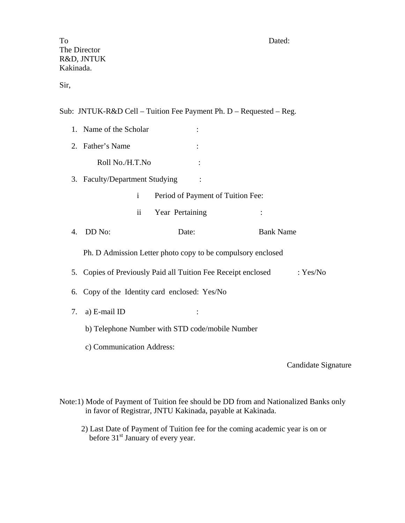Sir,

Sub: JNTUK-R&D Cell – Tuition Fee Payment Ph. D – Requested – Reg.

|    | 1. Name of the Scholar                                                 |                                   |                     |  |
|----|------------------------------------------------------------------------|-----------------------------------|---------------------|--|
|    | 2. Father's Name                                                       |                                   |                     |  |
|    | Roll No./H.T.No                                                        |                                   |                     |  |
|    | 3. Faculty/Department Studying                                         |                                   |                     |  |
|    | $\mathbf{i}$                                                           | Period of Payment of Tuition Fee: |                     |  |
|    | $\ddot{\rm n}$                                                         | Year Pertaining                   |                     |  |
| 4. | DD No:                                                                 | Date:                             | <b>Bank Name</b>    |  |
|    | Ph. D Admission Letter photo copy to be compulsory enclosed            |                                   |                     |  |
| 5. | Copies of Previously Paid all Tuition Fee Receipt enclosed<br>: Yes/No |                                   |                     |  |
| 6. | Copy of the Identity card enclosed: Yes/No                             |                                   |                     |  |
| 7. | a) E-mail ID                                                           |                                   |                     |  |
|    | b) Telephone Number with STD code/mobile Number                        |                                   |                     |  |
|    | c) Communication Address:                                              |                                   |                     |  |
|    |                                                                        |                                   | Candidate Signature |  |

Note:1) Mode of Payment of Tuition fee should be DD from and Nationalized Banks only in favor of Registrar, JNTU Kakinada, payable at Kakinada.

 2) Last Date of Payment of Tuition fee for the coming academic year is on or before 31<sup>st</sup> January of every year.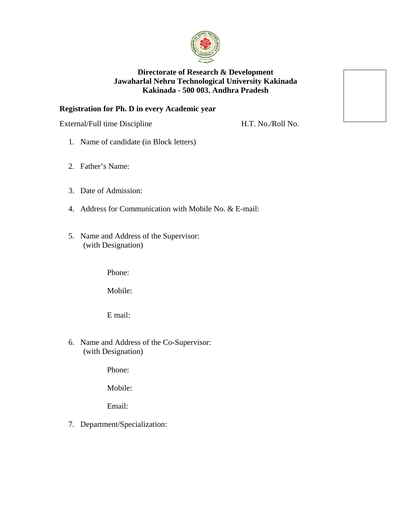

## **Directorate of Research & Development Jawaharlal Nehru Technological University Kakinada Kakinada - 500 003. Andhra Pradesh**

## **Registration for Ph. D in every Academic year**

External/Full time Discipline H.T. No./Roll No.

- 1. Name of candidate (in Block letters)
- 2. Father's Name:
- 3. Date of Admission:
- 4. Address for Communication with Mobile No. & E-mail:
- 5. Name and Address of the Supervisor: (with Designation)

Phone:

Mobile:

E mail:

6. Name and Address of the Co-Supervisor: (with Designation)

Phone:

Mobile:

Email:

7. Department/Specialization: